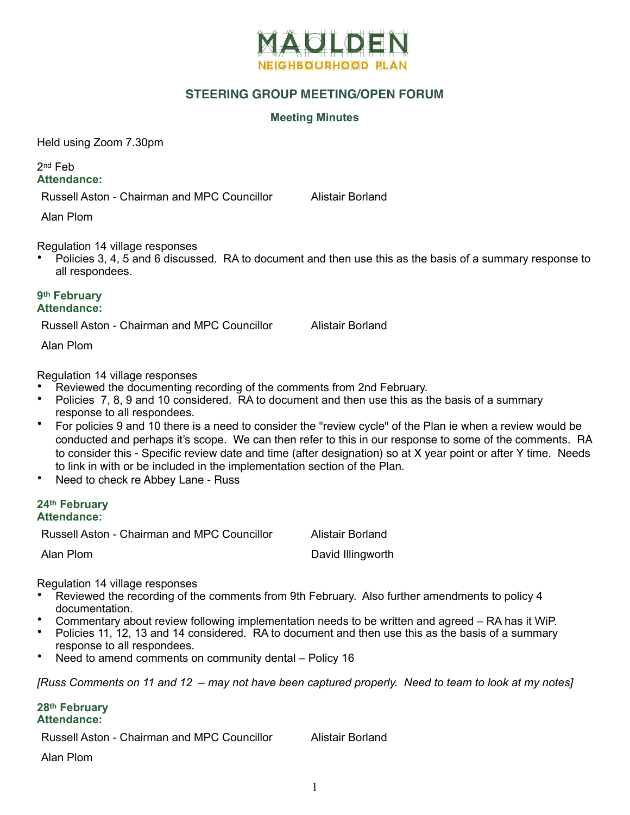

## **STEERING GROUP MEETING/OPEN FORUM**

## **Meeting Minutes**

Held using Zoom 7.30pm

2nd Feb **Attendance:**

Russell Aston - Chairman and MPC Councillor Alistair Borland

Alan Plom

Regulation 14 village responses

• Policies 3, 4, 5 and 6 discussed. RA to document and then use this as the basis of a summary response to all respondees.

## **9th February Attendance:**

Russell Aston - Chairman and MPC Councillor Alistair Borland

Alan Plom

Regulation 14 village responses

- Reviewed the documenting recording of the comments from 2nd February.
- Policies 7, 8, 9 and 10 considered. RA to document and then use this as the basis of a summary response to all respondees.
- For policies 9 and 10 there is a need to consider the "review cycle" of the Plan ie when a review would be conducted and perhaps it's scope. We can then refer to this in our response to some of the comments. RA to consider this - Specific review date and time (after designation) so at X year point or after Y time. Needs to link in with or be included in the implementation section of the Plan.
- Need to check re Abbey Lane Russ

## **24th February Attendance:**

Russell Aston - Chairman and MPC Councillor Alistair Borland

Alan Plom **David Illingworth** 

Regulation 14 village responses

- Reviewed the recording of the comments from 9th February. Also further amendments to policy 4 documentation.
- Commentary about review following implementation needs to be written and agreed RA has it WiP.
- Policies 11, 12, 13 and 14 considered. RA to document and then use this as the basis of a summary response to all respondees.
- Need to amend comments on community dental Policy 16

*[Russ Comments on 11 and 12 – may not have been captured properly. Need to team to look at my notes]*

**28th February Attendance:**

Russell Aston - Chairman and MPC Councillor Alistair Borland

Alan Plom